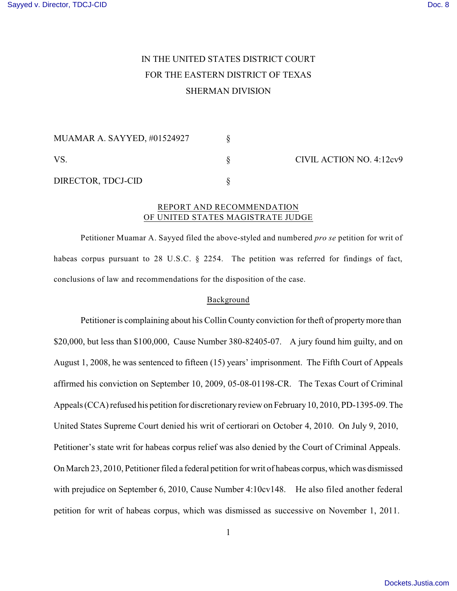# IN THE UNITED STATES DISTRICT COURT FOR THE EASTERN DISTRICT OF TEXAS SHERMAN DIVISION

| MUAMAR A. SAYYED, #01524927 |  | CIVIL ACTION NO. 4:12cv9 |
|-----------------------------|--|--------------------------|
| <b>VS</b>                   |  |                          |
| DIRECTOR, TDCJ-CID          |  |                          |

### REPORT AND RECOMMENDATION OF UNITED STATES MAGISTRATE JUDGE

Petitioner Muamar A. Sayyed filed the above-styled and numbered *pro se* petition for writ of habeas corpus pursuant to 28 U.S.C. § 2254. The petition was referred for findings of fact, conclusions of law and recommendations for the disposition of the case.

## Background

Petitioner is complaining about his Collin County conviction for theft of propertymore than \$20,000, but less than \$100,000, Cause Number 380-82405-07. A jury found him guilty, and on August 1, 2008, he was sentenced to fifteen (15) years' imprisonment. The Fifth Court of Appeals affirmed his conviction on September 10, 2009, 05-08-01198-CR. The Texas Court of Criminal Appeals (CCA) refused his petition for discretionary review on February10, 2010, PD-1395-09. The United States Supreme Court denied his writ of certiorari on October 4, 2010. On July 9, 2010, Petitioner's state writ for habeas corpus relief was also denied by the Court of Criminal Appeals. On March 23, 2010, Petitioner filed a federal petition for writ of habeas corpus, which was dismissed with prejudice on September 6, 2010, Cause Number 4:10cv148. He also filed another federal petition for writ of habeas corpus, which was dismissed as successive on November 1, 2011.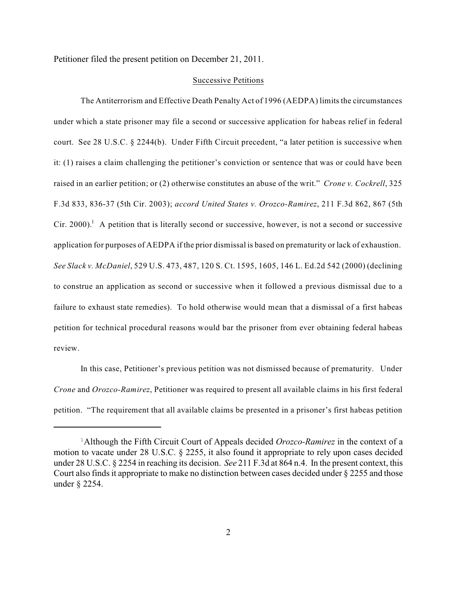Petitioner filed the present petition on December 21, 2011.

#### Successive Petitions

The Antiterrorism and Effective Death Penalty Act of 1996 (AEDPA) limits the circumstances under which a state prisoner may file a second or successive application for habeas relief in federal court. See 28 U.S.C. § 2244(b). Under Fifth Circuit precedent, "a later petition is successive when it: (1) raises a claim challenging the petitioner's conviction or sentence that was or could have been raised in an earlier petition; or (2) otherwise constitutes an abuse of the writ." *Crone v. Cockrell*, 325 F.3d 833, 836-37 (5th Cir. 2003); *accord United States v. Orozco-Ramirez*, 211 F.3d 862, 867 (5th Cir. 2000). A petition that is literally second or successive, however, is not a second or successive application for purposes of AEDPA if the prior dismissal is based on prematurity or lack of exhaustion. *See Slack v. McDaniel*, 529 U.S. 473, 487, 120 S. Ct. 1595, 1605, 146 L. Ed.2d 542 (2000) (declining to construe an application as second or successive when it followed a previous dismissal due to a failure to exhaust state remedies). To hold otherwise would mean that a dismissal of a first habeas petition for technical procedural reasons would bar the prisoner from ever obtaining federal habeas review.

In this case, Petitioner's previous petition was not dismissed because of prematurity. Under *Crone* and *Orozco-Ramirez*, Petitioner was required to present all available claims in his first federal petition. "The requirement that all available claims be presented in a prisoner's first habeas petition

<sup>&</sup>lt;sup>1</sup>Although the Fifth Circuit Court of Appeals decided *Orozco-Ramirez* in the context of a motion to vacate under 28 U.S.C. § 2255, it also found it appropriate to rely upon cases decided under 28 U.S.C. § 2254 in reaching its decision. *See* 211 F.3d at 864 n.4. In the present context, this Court also finds it appropriate to make no distinction between cases decided under § 2255 and those under § 2254.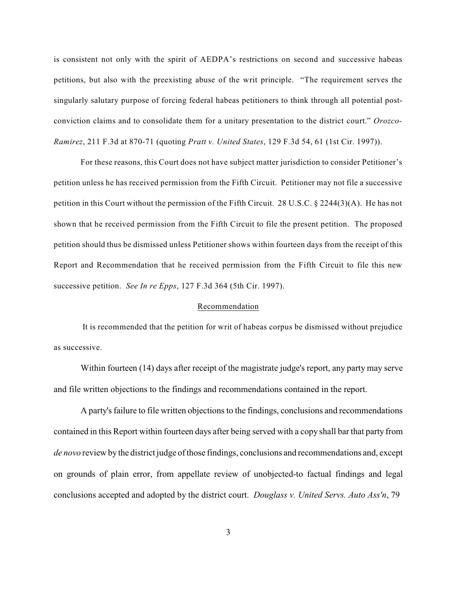is consistent not only with the spirit of AEDPA's restrictions on second and successive habeas petitions, but also with the preexisting abuse of the writ principle. "The requirement serves the singularly salutary purpose of forcing federal habeas petitioners to think through all potential postconviction claims and to consolidate them for a unitary presentation to the district court." *Orozco-Ramirez*, 211 F.3d at 870-71 (quoting *Pratt v. United States*, 129 F.3d 54, 61 (1st Cir. 1997)).

For these reasons, this Court does not have subject matter jurisdiction to consider Petitioner's petition unless he has received permission from the Fifth Circuit. Petitioner may not file a successive petition in this Court without the permission of the Fifth Circuit. 28 U.S.C. § 2244(3)(A). He has not shown that he received permission from the Fifth Circuit to file the present petition. The proposed petition should thus be dismissed unless Petitioner shows within fourteen days from the receipt of this Report and Recommendation that he received permission from the Fifth Circuit to file this new successive petition. *See In re Epps*, 127 F.3d 364 (5th Cir. 1997).

#### Recommendation

 It is recommended that the petition for writ of habeas corpus be dismissed without prejudice as successive.

Within fourteen (14) days after receipt of the magistrate judge's report, any party may serve and file written objections to the findings and recommendations contained in the report.

A party's failure to file written objections to the findings, conclusions and recommendations contained in this Report within fourteen days after being served with a copy shall bar that party from *de novo* review by the district judge of those findings, conclusions and recommendations and, except on grounds of plain error, from appellate review of unobjected-to factual findings and legal conclusions accepted and adopted by the district court. *Douglass v. United Servs. Auto Ass'n*, 79